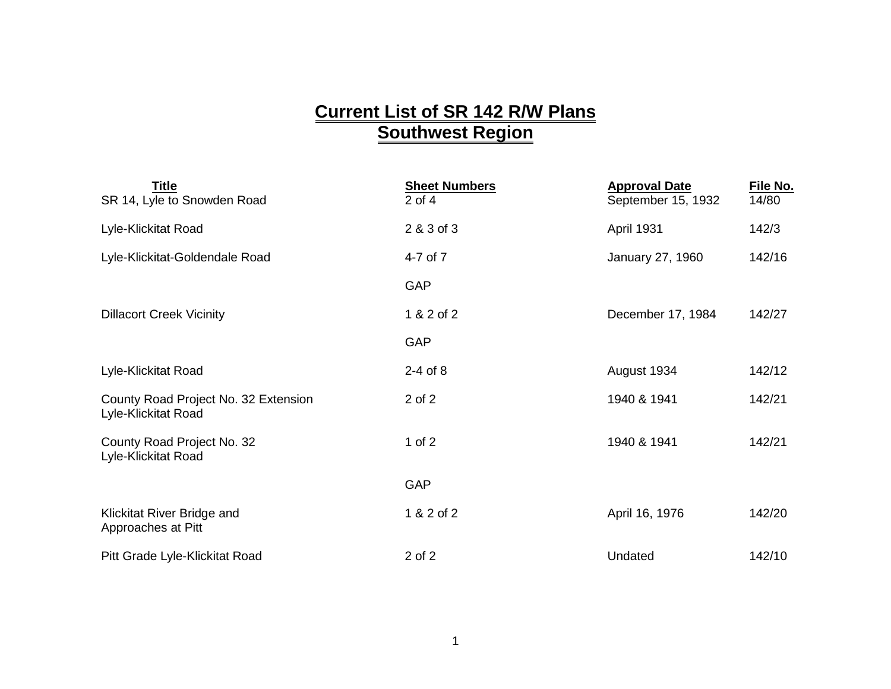## **Current List of SR 142 R/W Plans Southwest Region**

| <b>Title</b><br>SR 14, Lyle to Snowden Road                 | <b>Sheet Numbers</b><br>$2$ of 4 | <b>Approval Date</b><br>September 15, 1932 | File No.<br>14/80 |
|-------------------------------------------------------------|----------------------------------|--------------------------------------------|-------------------|
| Lyle-Klickitat Road                                         | 2 & 3 of 3                       | April 1931                                 | 142/3             |
| Lyle-Klickitat-Goldendale Road                              | 4-7 of 7                         | January 27, 1960                           | 142/16            |
|                                                             | GAP                              |                                            |                   |
| <b>Dillacort Creek Vicinity</b>                             | 1 & 2 of 2                       | December 17, 1984                          | 142/27            |
|                                                             | GAP                              |                                            |                   |
| Lyle-Klickitat Road                                         | $2-4$ of $8$                     | August 1934                                | 142/12            |
| County Road Project No. 32 Extension<br>Lyle-Klickitat Road | 2 of 2                           | 1940 & 1941                                | 142/21            |
| County Road Project No. 32<br>Lyle-Klickitat Road           | 1 of $2$                         | 1940 & 1941                                | 142/21            |
|                                                             | GAP                              |                                            |                   |
| Klickitat River Bridge and<br>Approaches at Pitt            | 1 & 2 of 2                       | April 16, 1976                             | 142/20            |
| Pitt Grade Lyle-Klickitat Road                              | 2 of 2                           | Undated                                    | 142/10            |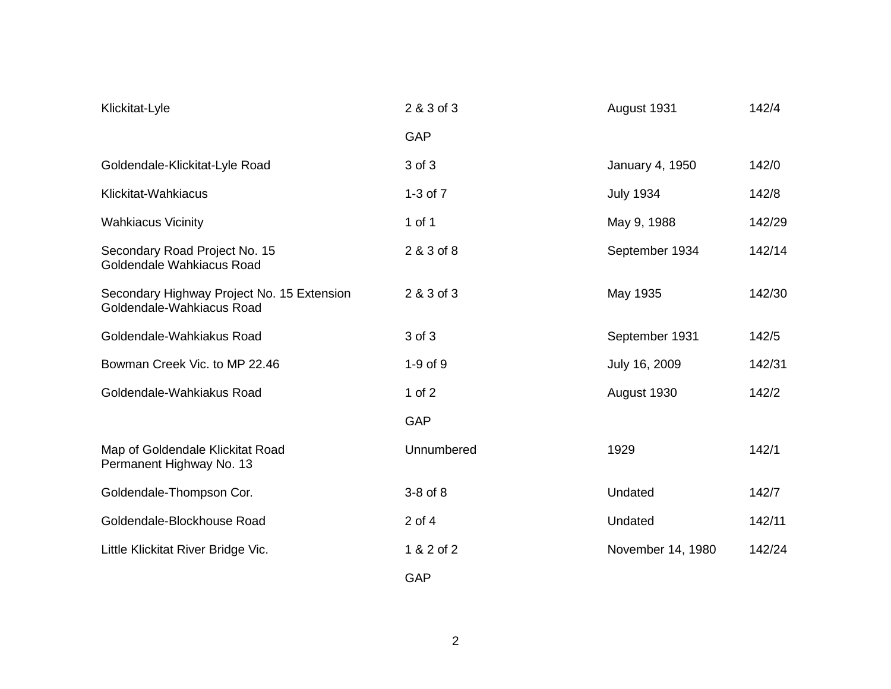| Klickitat-Lyle                                                          | 2 & 3 of 3   | August 1931       | 142/4  |
|-------------------------------------------------------------------------|--------------|-------------------|--------|
|                                                                         | GAP          |                   |        |
| Goldendale-Klickitat-Lyle Road                                          | 3 of 3       | January 4, 1950   | 142/0  |
| Klickitat-Wahkiacus                                                     | 1-3 of 7     | <b>July 1934</b>  | 142/8  |
| <b>Wahkiacus Vicinity</b>                                               | 1 of 1       | May 9, 1988       | 142/29 |
| Secondary Road Project No. 15<br>Goldendale Wahkiacus Road              | 2 & 3 of 8   | September 1934    | 142/14 |
| Secondary Highway Project No. 15 Extension<br>Goldendale-Wahkiacus Road | 2 & 3 of 3   | May 1935          | 142/30 |
| Goldendale-Wahkiakus Road                                               | 3 of 3       | September 1931    | 142/5  |
| Bowman Creek Vic. to MP 22.46                                           | $1-9$ of $9$ | July 16, 2009     | 142/31 |
| Goldendale-Wahkiakus Road                                               | $1$ of $2$   | August 1930       | 142/2  |
|                                                                         | GAP          |                   |        |
| Map of Goldendale Klickitat Road<br>Permanent Highway No. 13            | Unnumbered   | 1929              | 142/1  |
| Goldendale-Thompson Cor.                                                | $3-8$ of $8$ | Undated           | 142/7  |
| Goldendale-Blockhouse Road                                              | $2$ of $4$   | Undated           | 142/11 |
| Little Klickitat River Bridge Vic.                                      | 1 & 2 of 2   | November 14, 1980 | 142/24 |
|                                                                         | GAP          |                   |        |